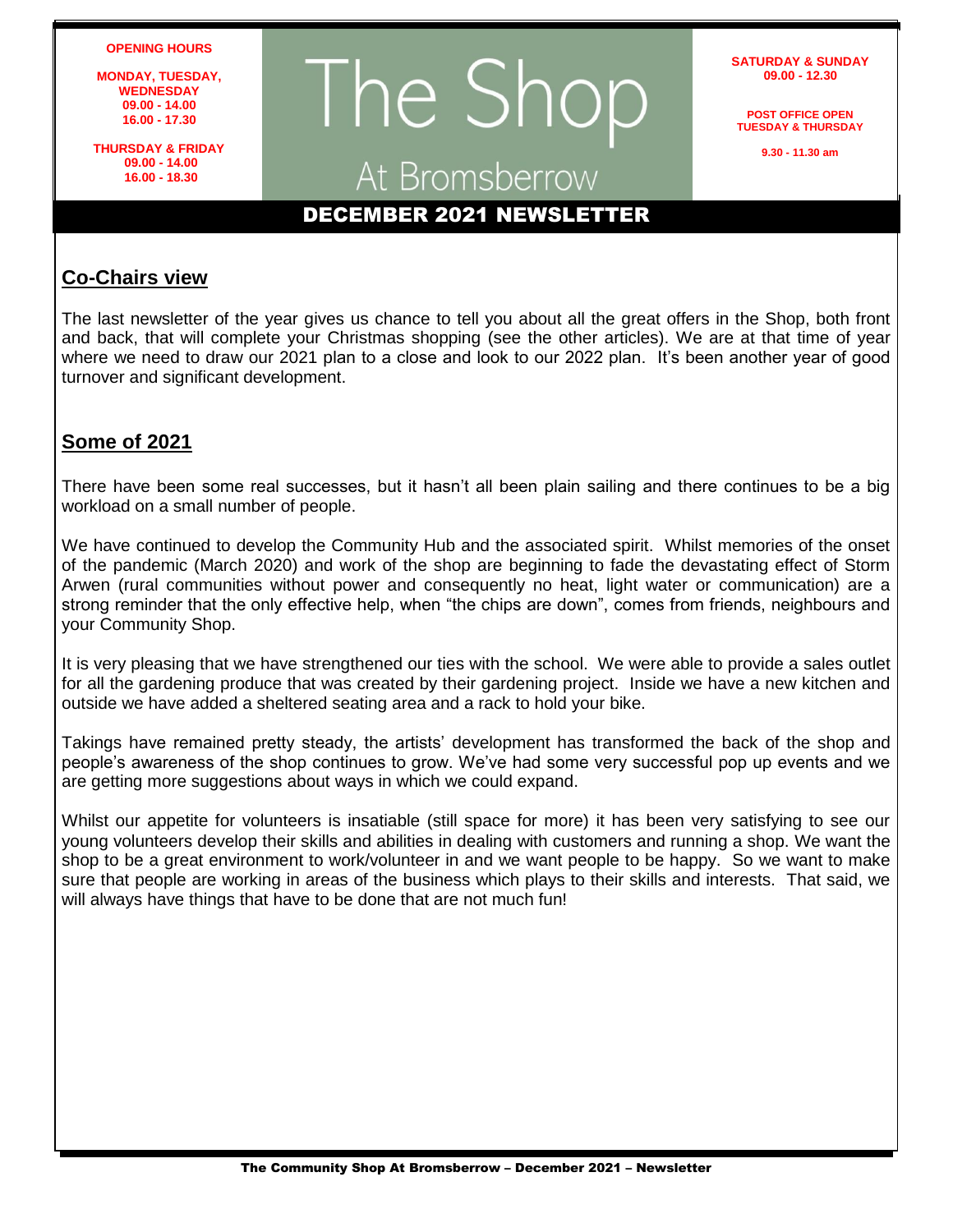**OPENING HOURS**

**MONDAY, TUESDAY, WEDNESDAY 09.00 - 14.00 16.00 - 17.30**

**THURSDAY & FRIDAY 09.00 - 14.00 16.00 - 18.30**

# The Shop At Bromsberrow

**SATURDAY & SUNDAY 09.00 - 12.30**

**POST OFFICE OPEN TUESDAY & THURSDAY**

**9.30 - 11.30 am**

## DECEMBER 2021 NEWSLETTER

#### **Co-Chairs view**

The last newsletter of the year gives us chance to tell you about all the great offers in the Shop, both front and back, that will complete your Christmas shopping (see the other articles). We are at that time of year where we need to draw our 2021 plan to a close and look to our 2022 plan. It's been another year of good turnover and significant development.

#### **Some of 2021**

There have been some real successes, but it hasn't all been plain sailing and there continues to be a big workload on a small number of people.

We have continued to develop the Community Hub and the associated spirit. Whilst memories of the onset of the pandemic (March 2020) and work of the shop are beginning to fade the devastating effect of Storm Arwen (rural communities without power and consequently no heat, light water or communication) are a strong reminder that the only effective help, when "the chips are down", comes from friends, neighbours and your Community Shop.

It is very pleasing that we have strengthened our ties with the school. We were able to provide a sales outlet for all the gardening produce that was created by their gardening project. Inside we have a new kitchen and outside we have added a sheltered seating area and a rack to hold your bike.

Takings have remained pretty steady, the artists' development has transformed the back of the shop and people's awareness of the shop continues to grow. We've had some very successful pop up events and we are getting more suggestions about ways in which we could expand.

Whilst our appetite for volunteers is insatiable (still space for more) it has been very satisfying to see our young volunteers develop their skills and abilities in dealing with customers and running a shop. We want the shop to be a great environment to work/volunteer in and we want people to be happy. So we want to make sure that people are working in areas of the business which plays to their skills and interests. That said, we will always have things that have to be done that are not much fun!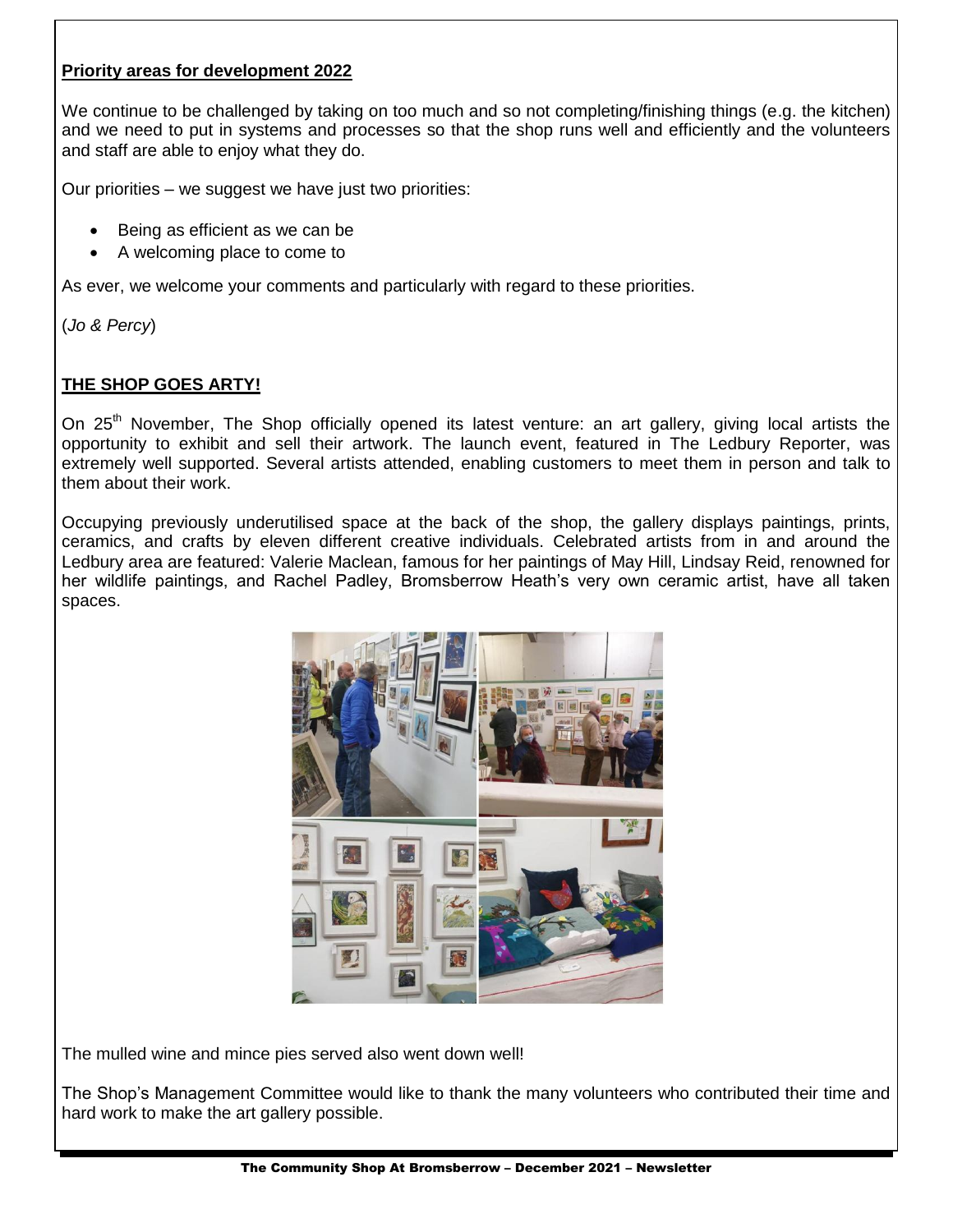#### **Priority areas for development 2022**

We continue to be challenged by taking on too much and so not completing/finishing things (e.g. the kitchen) and we need to put in systems and processes so that the shop runs well and efficiently and the volunteers and staff are able to enjoy what they do.

Our priorities – we suggest we have just two priorities:

- Being as efficient as we can be
- A welcoming place to come to

As ever, we welcome your comments and particularly with regard to these priorities.

(*Jo & Percy*)

#### **THE SHOP GOES ARTY!**

On 25<sup>th</sup> November, The Shop officially opened its latest venture: an art gallery, giving local artists the opportunity to exhibit and sell their artwork. The launch event, featured in The Ledbury Reporter, was extremely well supported. Several artists attended, enabling customers to meet them in person and talk to them about their work.

Occupying previously underutilised space at the back of the shop, the gallery displays paintings, prints, ceramics, and crafts by eleven different creative individuals. Celebrated artists from in and around the Ledbury area are featured: Valerie Maclean, famous for her paintings of May Hill, Lindsay Reid, renowned for her wildlife paintings, and Rachel Padley, Bromsberrow Heath's very own ceramic artist, have all taken spaces.



The mulled wine and mince pies served also went down well!

The Shop's Management Committee would like to thank the many volunteers who contributed their time and hard work to make the art gallery possible.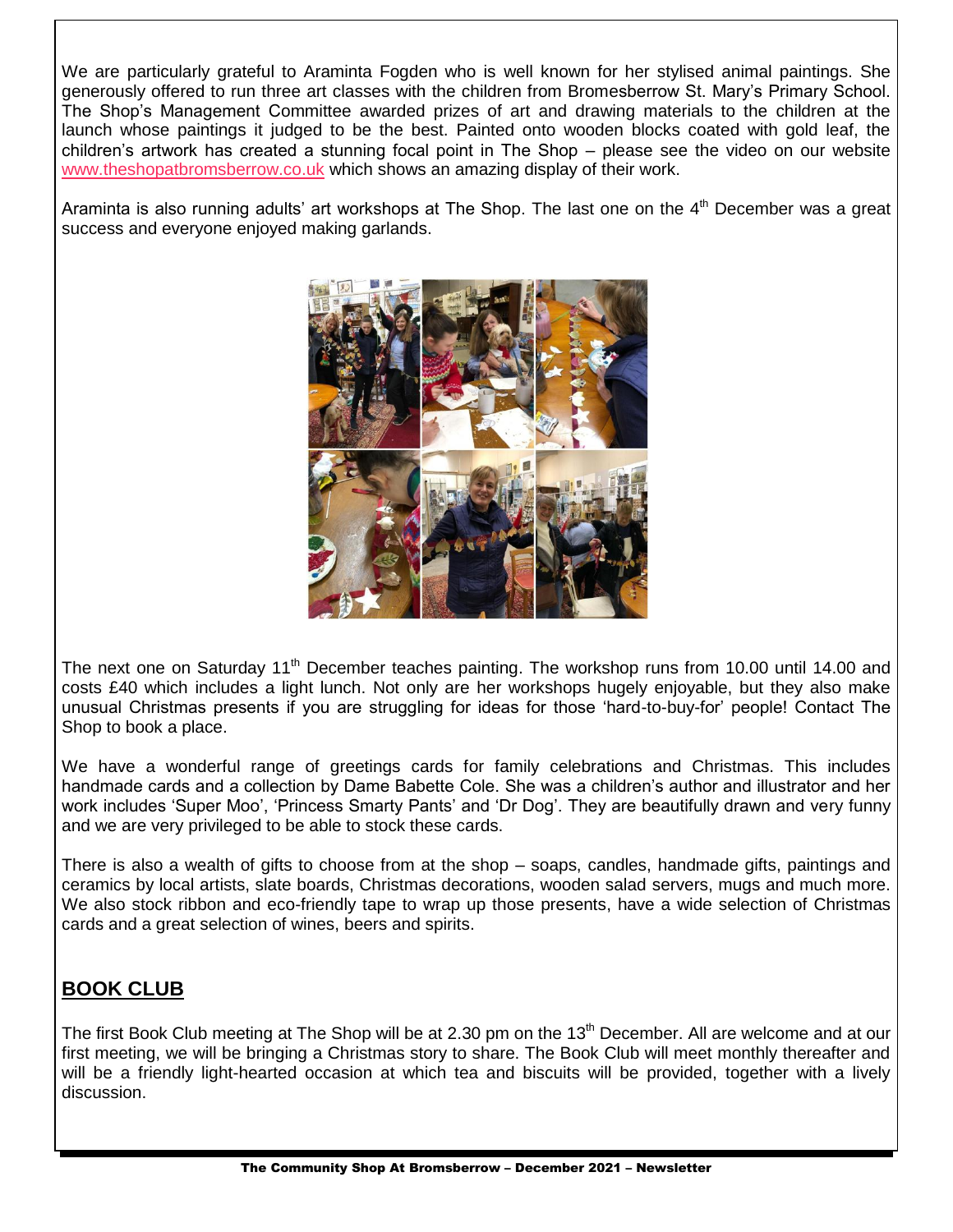We are particularly grateful to Araminta Fogden who is well known for her stylised animal paintings. She generously offered to run three art classes with the children from Bromesberrow St. Mary's Primary School. The Shop's Management Committee awarded prizes of art and drawing materials to the children at the launch whose paintings it judged to be the best. Painted onto wooden blocks coated with gold leaf, the children's artwork has created a stunning focal point in The Shop – please see the video on our website [www.theshopatbromsberrow.co.uk](http://www.theshopatbromsberrow.co.uk/) which shows an amazing display of their work.

Araminta is also running adults' art workshops at The Shop. The last one on the 4<sup>th</sup> December was a great success and everyone enjoyed making garlands.



The next one on Saturday 11<sup>th</sup> December teaches painting. The workshop runs from 10.00 until 14.00 and costs £40 which includes a light lunch. Not only are her workshops hugely enjoyable, but they also make unusual Christmas presents if you are struggling for ideas for those 'hard-to-buy-for' people! Contact The Shop to book a place.

We have a wonderful range of greetings cards for family celebrations and Christmas. This includes handmade cards and a collection by Dame Babette Cole. She was a children's author and illustrator and her work includes 'Super Moo', 'Princess Smarty Pants' and 'Dr Dog'. They are beautifully drawn and very funny and we are very privileged to be able to stock these cards.

There is also a wealth of gifts to choose from at the shop – soaps, candles, handmade gifts, paintings and ceramics by local artists, slate boards, Christmas decorations, wooden salad servers, mugs and much more. We also stock ribbon and eco-friendly tape to wrap up those presents, have a wide selection of Christmas cards and a great selection of wines, beers and spirits.

## **BOOK CLUB**

The first Book Club meeting at The Shop will be at 2.30 pm on the 13<sup>th</sup> December. All are welcome and at our first meeting, we will be bringing a Christmas story to share. The Book Club will meet monthly thereafter and will be a friendly light-hearted occasion at which tea and biscuits will be provided, together with a lively discussion.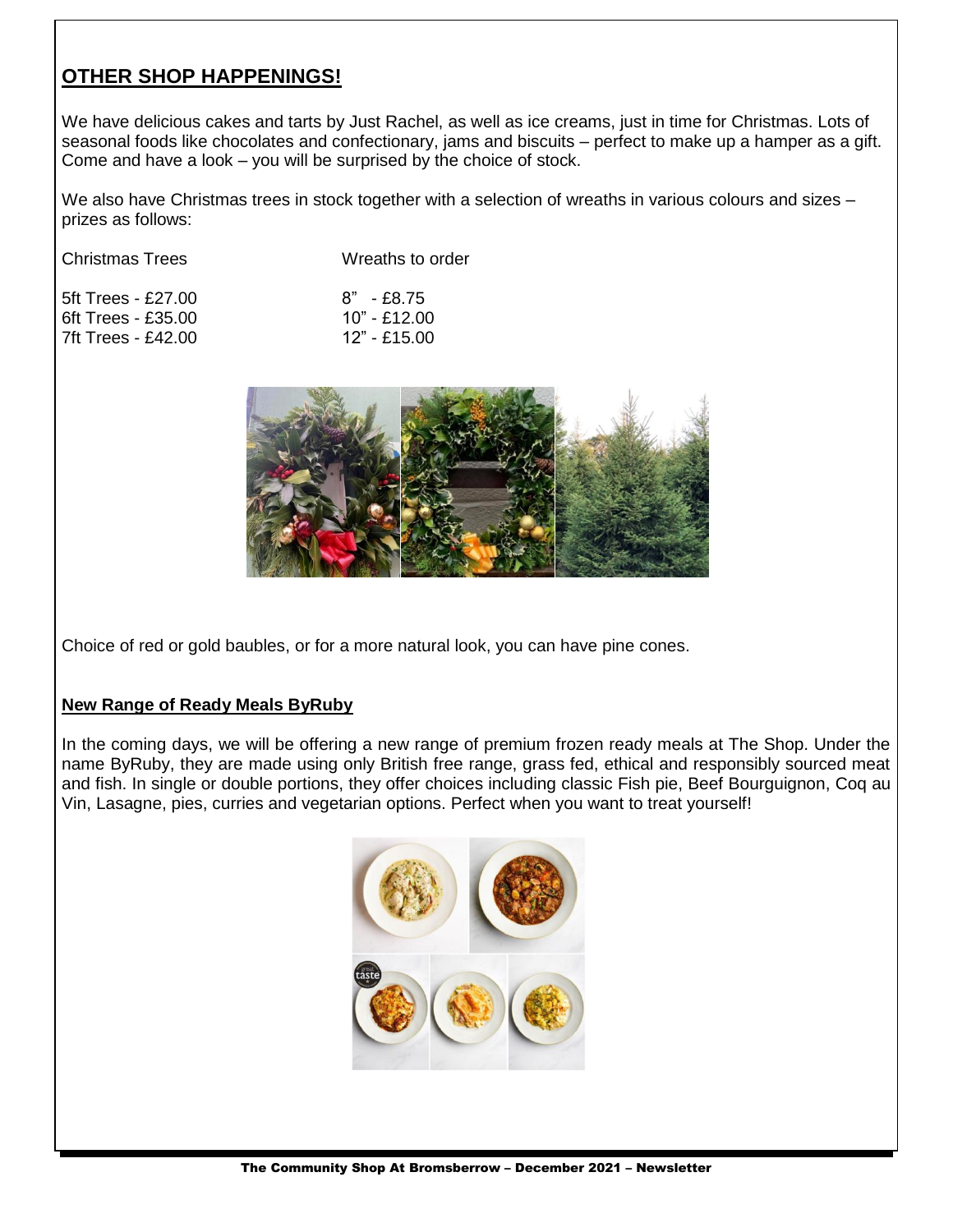#### **OTHER SHOP HAPPENINGS!**

We have delicious cakes and tarts by Just Rachel, as well as ice creams, just in time for Christmas. Lots of seasonal foods like chocolates and confectionary, jams and biscuits – perfect to make up a hamper as a gift. Come and have a look – you will be surprised by the choice of stock.

We also have Christmas trees in stock together with a selection of wreaths in various colours and sizes – prizes as follows:

| <b>Christmas Trees</b> | Wreaths to order |
|------------------------|------------------|
| 5ft Trees - £27.00     | $8" - £8.75$     |
| $6ft$ Trees - £35.00   | $10" - £12.00$   |
| 7ft Trees - £42.00     | $12" - £15.00$   |



Choice of red or gold baubles, or for a more natural look, you can have pine cones.

#### **New Range of Ready Meals ByRuby**

In the coming days, we will be offering a new range of premium frozen ready meals at The Shop. Under the name ByRuby, they are made using only British free range, grass fed, ethical and responsibly sourced meat and fish. In single or double portions, they offer choices including classic Fish pie, Beef Bourguignon, Coq au Vin, Lasagne, pies, curries and vegetarian options. Perfect when you want to treat yourself!

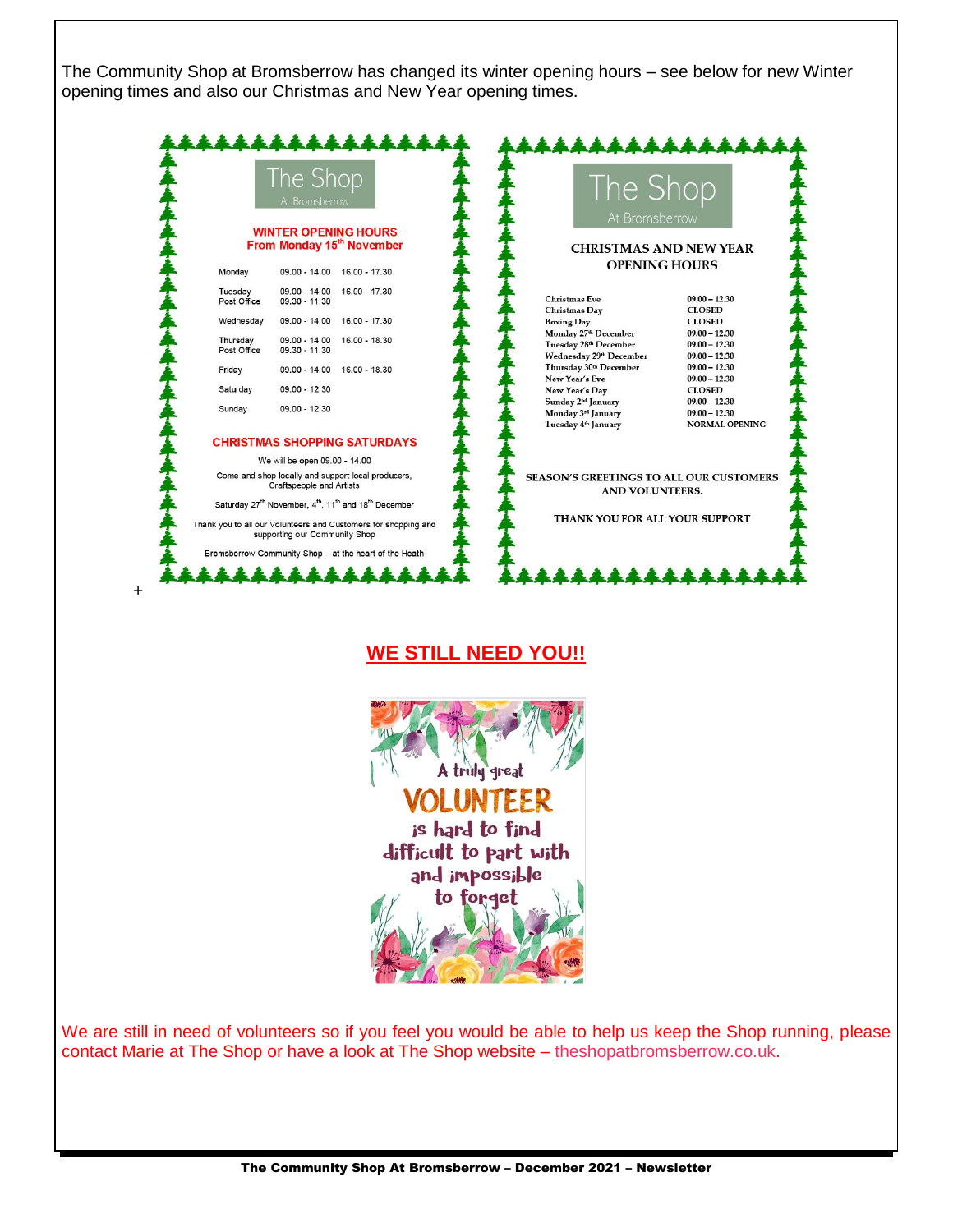The Community Shop at Bromsberrow has changed its winter opening hours – see below for new Winter opening times and also our Christmas and New Year opening times.

|                                                                                                                                                                                                         | The Shop<br>At Bromsberrow                             |                                                       | The Shop<br>At Bromsberrow                                               |                                          |
|---------------------------------------------------------------------------------------------------------------------------------------------------------------------------------------------------------|--------------------------------------------------------|-------------------------------------------------------|--------------------------------------------------------------------------|------------------------------------------|
| <b>WINTER OPENING HOURS</b><br>From Monday 15 <sup>th</sup> November                                                                                                                                    |                                                        | <b>CHRISTMAS AND NEW YEAR</b><br><b>OPENING HOURS</b> |                                                                          |                                          |
| Monday                                                                                                                                                                                                  | 16.00 - 17.30<br>$09.00 - 14.00$                       |                                                       |                                                                          |                                          |
| Tuesday<br>Post Office                                                                                                                                                                                  | $09.00 - 14.00$<br>16.00 - 17.30<br>09.30 - 11.30      |                                                       | <b>Christmas Eve</b><br><b>Christmas Day</b>                             | $09.00 - 12.30$<br><b>CLOSED</b>         |
| Wednesday                                                                                                                                                                                               | 09.00 - 14.00<br>16.00 - 17.30                         |                                                       | <b>Boxing Day</b><br>Monday 27 <sup>th</sup> December                    | <b>CLOSED</b><br>$09.00 - 12.30$         |
| Thursday<br>Post Office                                                                                                                                                                                 | 09.00 - 14.00<br>16.00 - 18.30<br>09.30 - 11.30        |                                                       | Tuesday 28th December<br>Wednesday 29th December                         | $09.00 - 12.30$<br>$09.00 - 12.30$       |
| Friday                                                                                                                                                                                                  | $09.00 - 14.00$<br>16.00 - 18.30                       |                                                       | Thursday 30th December<br>New Year's Eve                                 | $09.00 - 12.30$<br>$09.00 - 12.30$       |
| Saturday                                                                                                                                                                                                | 09.00 - 12.30                                          |                                                       | New Year's Day<br>Sunday 2 <sup>nd</sup> January                         | <b>CLOSED</b><br>$09.00 - 12.30$         |
| Sunday                                                                                                                                                                                                  | 09.00 - 12.30                                          |                                                       | Monday 3rd January<br>Tuesday 4th January                                | $09.00 - 12.30$<br><b>NORMAL OPENING</b> |
|                                                                                                                                                                                                         | <b>CHRISTMAS SHOPPING SATURDAYS</b>                    |                                                       |                                                                          |                                          |
|                                                                                                                                                                                                         | We will be open 09.00 - 14.00                          |                                                       |                                                                          |                                          |
| Come and shop locally and support local producers,<br><b>Craftspeople and Artists</b>                                                                                                                   |                                                        |                                                       | <b>SEASON'S GREETINGS TO ALL OUR CUSTOMERS</b><br><b>AND VOLUNTEERS.</b> |                                          |
| Saturday 27 <sup>th</sup> November, 4 <sup>th</sup> , 11 <sup>th</sup> and 18 <sup>th</sup> December<br>Thank you to all our Volunteers and Customers for shopping and<br>supporting our Community Shop |                                                        |                                                       | THANK YOU FOR ALL YOUR SUPPORT                                           |                                          |
|                                                                                                                                                                                                         | Bromsberrow Community Shop - at the heart of the Heath |                                                       |                                                                          |                                          |

#### **WE STILL NEED YOU!!**

+



We are still in need of volunteers so if you feel you would be able to help us keep the Shop running, please contact Marie at The Shop or have a look at The Shop website – [theshopatbromsberrow.co.uk.](file:///C:/Users/carolgarson/Documents/theshopatbromsberrow.co.uk)